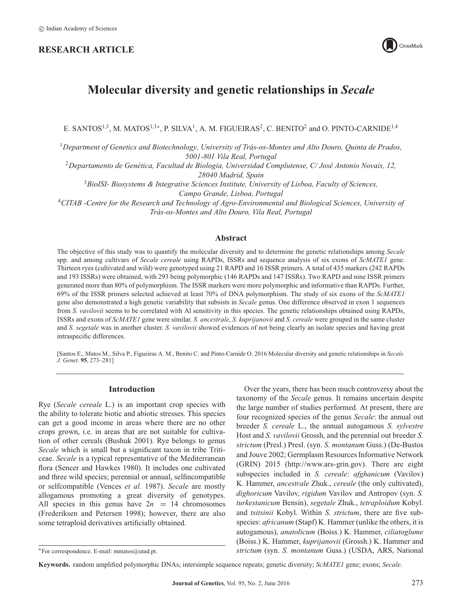# **RESEARCH ARTICLE**



# **Molecular diversity and genetic relationships in** *Secale*

E. SANTOS<sup>1,3</sup>, M. MATOS<sup>1,3</sup><sup>\*</sup>, P. SILVA<sup>1</sup>, A. M. FIGUEIRAS<sup>2</sup>, C. BENITO<sup>2</sup> and O. PINTO-CARNIDE<sup>1,4</sup>

<sup>1</sup>*Department of Genetics and Biotechnology, University of Trás-os-Montes and Alto Douro, Quinta de Prados, 5001-801 Vila Real, Portugal*

<sup>2</sup>*Departamento de Genética, Facultad de Biologia, Universidad Complutense, C/ José Antonio Novais, 12, 28040 Madrid, Spain*

<sup>3</sup>*BioISI- Biosystems & Integrative Sciences Institute, University of Lisboa, Faculty of Sciences, Campo Grande, Lisboa, Portugal*

<sup>4</sup>*CITAB -Centre for the Research and Technology of Agro-Environmental and Biological Sciences, University of Trás-os-Montes and Alto Douro, Vila Real, Portugal*

# **Abstract**

The objective of this study was to quantify the molecular diversity and to determine the genetic relationships among *Secale* spp. and among cultivars of *Secale cereale* using RAPDs, ISSRs and sequence analysis of six exons of *ScMATE1* gene. Thirteen ryes (cultivated and wild) were genotyped using 21 RAPD and 16 ISSR primers. A total of 435 markers (242 RAPDs and 193 ISSRs) were obtained, with 293 being polymorphic (146 RAPDs and 147 ISSRs). Two RAPD and nine ISSR primers generated more than 80% of polymorphism. The ISSR markers were more polymorphic and informative than RAPDs. Further, 69% of the ISSR primers selected achieved at least 70% of DNA polymorphism. The study of six exons of the *ScMATE1* gene also demonstrated a high genetic variability that subsists in *Secale* genus. One difference observed in exon 1 sequences from *S. vavilovii* seems to be correlated with Al sensitivity in this species. The genetic relationships obtained using RAPDs, ISSRs and exons of *ScMATE1* gene were similar. *S. ancestrale*, *S. kuprijanovii* and *S. cereale* were grouped in the same cluster and *S. segetale* was in another cluster. *S. vavilovii* showed evidences of not being clearly an isolate species and having great intraspecific differences.

[Santos E., Matos M., Silva P., Figueiras A. M., Benito C. and Pinto-Carnide O. 2016 Molecular diversity and genetic relationships in *Secale. J. Genet*. **95**, 273–281]

# **Introduction**

Rye (*Secale cereale* L.) is an important crop species with the ability to tolerate biotic and abiotic stresses. This species can get a good income in areas where there are no other crops grown, i.e. in areas that are not suitable for cultivation of other cereals (Bushuk 2001). Rye belongs to genus *Secale* which is small but a significant taxon in tribe Triticeae. *Secale* is a typical representative of the Mediterranean flora (Sencer and Hawkes 1980). It includes one cultivated and three wild species; perennial or annual, selfincompatible or selfcompatible (Vences *et al.* 1987). *Secale* are mostly allogamous promoting a great diversity of genotypes. All species in this genus have  $2n = 14$  chromosomes (Frederiksen and Petersen 1998); however, there are also some tetraploid derivatives artificially obtained.

Over the years, there has been much controversy about the taxonomy of the *Secale* genus. It remains uncertain despite the large number of studies performed. At present, there are four recognized species of the genus *Secale*: the annual out breeder *S. cereale* L., the annual autogamous *S. sylvestre* Host and *S. vavilovii* Grossh, and the perennial out breeder *S. strictum* (Presl.) Presl. (syn. *S. montanum* Guss.) (De-Bustos and Jouve 2002; Germplasm Resources Informative Network (GRIN) 2015 [\(http://www.ars-grin.gov\)](http://www.ars-grin.gov). There are eight subspecies included in *S. cereale*: *afghanicum* (Vavilov) K. Hammer, *ancestrale* Zhuk., *cereale* (the only cultivated), *dighoricum* Vavilov, *rigidum* Vavilov and Antropov (syn. *S. turkestanicum* Bensin), *segetale* Zhuk., *tetraploidum* Kobyl. and *tsitsinii* Kobyl. Within *S. strictum*, there are five subspecies: *africanum* (Stapf) K. Hammer (unlike the others, it is autogamous), *anatolicum* (Boiss.) K. Hammer, *ciliatoglume* (Boiss.) K. Hammer, *kuprijanovii* (Grossh.) K. Hammer and *strictum* (syn. *S. montanum* Guss.) (USDA, ARS, National

<sup>∗</sup>For correspondence. E-mail: mmatos@utad.pt.

**Keywords.** random amplified polymorphic DNAs; intersimple sequence repeats; genetic diversity; *ScMATE1* gene; exons; *Secale*.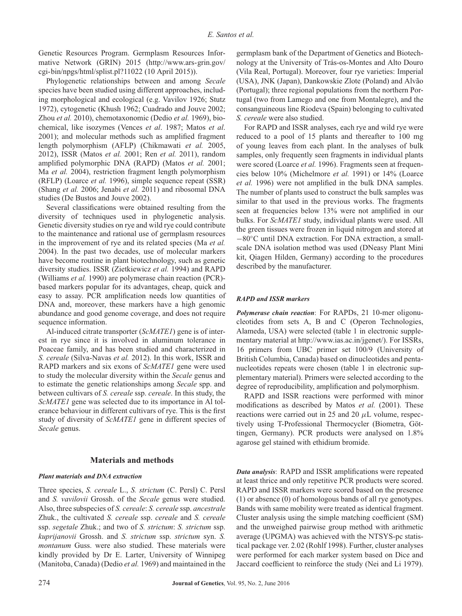Genetic Resources Program. Germplasm Resources Informative Network (GRIN) 2015 [\(http://www.ars-grin.gov/](http://www.ars-grin.gov/cgi-bin/npgs/html/splist.pl?11022) [cgi-bin/npgs/html/splist.pl?11022](http://www.ars-grin.gov/cgi-bin/npgs/html/splist.pl?11022) (10 April 2015)).

Phylogenetic relationships between and among *Secale* species have been studied using different approaches, including morphological and ecological (e.g. Vavilov 1926; Stutz 1972), cytogenetic (Khush 1962; Cuadrado and Jouve 2002; Zhou *et al.* 2010), chemotaxonomic (Dedio *et al.* 1969), biochemical, like isozymes (Vences *et al*. 1987; Matos *et al*. 2001); and molecular methods such as amplified fragment length polymorphism (AFLP) (Chikmawati *et al.* 2005, 2012), ISSR (Matos *et al.* 2001; Ren *et al.* 2011), random amplified polymorphic DNA (RAPD) (Matos *et al.* 2001; Ma *et al.* 2004), restriction fragment length polymorphism (RFLP) (Loarce *et al.* 1996), simple sequence repeat (SSR) (Shang *et al.* 2006; Jenabi *et al.* 2011) and ribosomal DNA studies (De Bustos and Jouve 2002).

Several classifications were obtained resulting from the diversity of techniques used in phylogenetic analysis. Genetic diversity studies on rye and wild rye could contribute to the maintenance and rational use of germplasm resources in the improvement of rye and its related species (Ma *et al.* 2004). In the past two decades, use of molecular markers have become routine in plant biotechnology, such as genetic diversity studies. ISSR (Zietkiewicz *et al.* 1994) and RAPD (Williams *et al.* 1990) are polymerase chain reaction (PCR) based markers popular for its advantages, cheap, quick and easy to assay. PCR amplification needs low quantities of DNA and, moreover, these markers have a high genomic abundance and good genome coverage, and does not require sequence information.

Al-induced citrate transporter (*ScMATE1*) gene is of interest in rye since it is involved in aluminum tolerance in Poaceae family, and has been studied and characterized in *S. cereale* (Silva-Navas *et al.* 2012). In this work, ISSR and RAPD markers and six exons of *ScMATE1* gene were used to study the molecular diversity within the *Secale* genus and to estimate the genetic relationships among *Secale* spp. and between cultivars of *S. cereale* ssp. *cereale*. In this study, the *ScMATE1* gene was selected due to its importance in Al tolerance behaviour in different cultivars of rye. This is the first study of diversity of *ScMATE1* gene in different species of *Secale* genus.

#### **Materials and methods**

### *Plant materials and DNA extraction*

Three species, *S. cereale* L., *S. strictum* (C. Persl) C. Persl and *S. vavilovii* Grossh. of the *Secale* genus were studied. Also, three subspecies of *S. cereale*: *S. cereale* ssp. *ancestrale* Zhuk., the cultivated *S. cereale* ssp. *cereale* and *S. cereale* ssp. *segetale* Zhuk.; and two of *S. strictum*: *S. strictum* ssp. *kuprijanovii* Grossh. and *S. strictum* ssp. *strictum* syn. *S. montanum* Guss. were also studied. These materials were kindly provided by Dr E. Larter, University of Winnipeg (Manitoba, Canada) (Dedio *et al.* 1969) and maintained in the

germplasm bank of the Department of Genetics and Biotechnology at the University of Trás-os-Montes and Alto Douro (Vila Real, Portugal). Moreover, four rye varieties: Imperial (USA), JNK (Japan), Dankowskie Zlote (Poland) and Alvão (Portugal); three regional populations from the northern Portugal (two from Lamego and one from Montalegre), and the consanguineous line Riodeva (Spain) belonging to cultivated *S. cereale* were also studied.

For RAPD and ISSR analyses, each rye and wild rye were reduced to a pool of 15 plants and thereafter to 100 mg of young leaves from each plant. In the analyses of bulk samples, only frequently seen fragments in individual plants were scored (Loarce *et al.* 1996). Fragments seen at frequencies below 10% (Michelmore *et al.* 1991) or 14% (Loarce *et al.* 1996) were not amplified in the bulk DNA samples. The number of plants used to construct the bulk samples was similar to that used in the previous works. The fragments seen at frequencies below 13% were not amplified in our bulks. For *ScMATE1* study, individual plants were used. All the green tissues were frozen in liquid nitrogen and stored at −80◦C until DNA extraction. For DNA extraction, a smallscale DNA isolation method was used (DNeasy Plant Mini kit, Qiagen Hilden, Germany) according to the procedures described by the manufacturer.

#### *RAPD and ISSR markers*

*Polymerase chain reaction*: For RAPDs, 21 10-mer oligonucleotides from sets A, B and C (Operon Technologies, Alameda, USA) were selected (table 1 in electronic supplementary material at [http://www.ias.ac.in/jgenet/\)](http://www.ias.ac.in/jgenet/). For ISSRs, 16 primers from UBC primer set 100/9 (University of British Columbia, Canada) based on dinucleotides and pentanucleotides repeats were chosen (table 1 in electronic supplementary material). Primers were selected according to the degree of reproducibility, amplification and polymorphism.

RAPD and ISSR reactions were performed with minor modifications as described by Matos *et al.* (2001). These reactions were carried out in 25 and 20 *μ*L volume, respectively using T-Professional Thermocycler (Biometra, Göttingen, Germany). PCR products were analysed on 1.8% agarose gel stained with ethidium bromide.

*Data analysis*: RAPD and ISSR amplifications were repeated at least thrice and only repetitive PCR products were scored. RAPD and ISSR markers were scored based on the presence (1) or absence (0) of homologous bands of all rye genotypes. Bands with same mobility were treated as identical fragment. Cluster analysis using the simple matching coefficient (SM) and the unweighed pairwise group method with arithmetic average (UPGMA) was achieved with the NTSYS-pc statistical package ver. 2.02 (Rohlf 1998). Further, cluster analyses were performed for each marker system based on Dice and Jaccard coefficient to reinforce the study (Nei and Li 1979).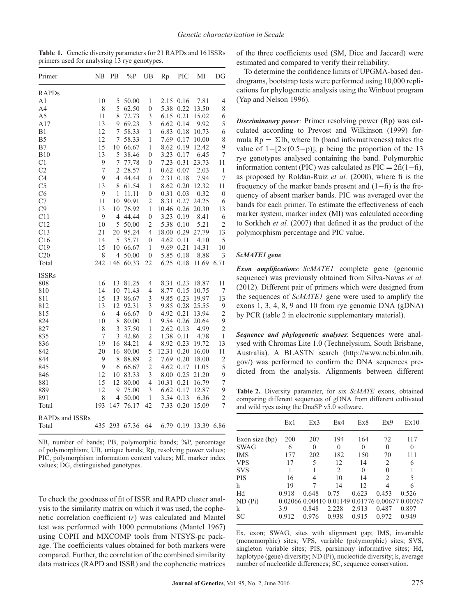**Table 1.** Genetic diversity parameters for 21 RAPDs and 16 ISSRs primers used for analysing 13 rye genotypes.

| Primer                 | NΒ               | PB             | $\%P$ | UB               | Rp    | <b>PIC</b> | МI         | DG               |
|------------------------|------------------|----------------|-------|------------------|-------|------------|------------|------------------|
| <b>RAPDs</b>           |                  |                |       |                  |       |            |            |                  |
| A1                     | 10               | 5              | 50.00 | 1                | 2.15  | 0.16       | 7.81       | 4                |
| A4                     | 8                | 5              | 62.50 | $\boldsymbol{0}$ | 5.38  | 0.22       | 13.50      | 8                |
| A5                     | 11               | 8              | 72.73 | 3                | 6.15  | 0.21       | 15.02      | 6                |
| A17                    | 13               | 9              | 69.23 | 3                | 6.62  | 0.14       | 9.92       | 5                |
| B1                     | 12               | 7              | 58.33 | 1                | 6.83  | 0.18       | 10.73      | 6                |
| B <sub>5</sub>         | 12               | 7              | 58.33 | 1                | 7.69  | 0.17       | 10.00      | 8                |
| B7                     | 15               | 10             | 66.67 | 1                | 8.62  | 0.19       | 12.42      | 9                |
| <b>B10</b>             | 13               | 5              | 38.46 | $\overline{0}$   | 3.23  | 0.17       | 6.45       | $\boldsymbol{7}$ |
| C <sub>1</sub>         | 9                | 7              | 77.78 | 0                | 7.23  | 0.31       | 23.73      | 11               |
| C <sub>2</sub>         | $\boldsymbol{7}$ | 2              | 28.57 | 1                | 0.62  | 0.07       | 2.03       | 1                |
| C <sub>4</sub>         | 9                | $\overline{4}$ | 44.44 | 0                | 2.31  | 0.18       | 7.94       | $\boldsymbol{7}$ |
| C <sub>5</sub>         | 13               | 8              | 61.54 | 1                | 8.62  | 0.20       | 12.32      | 11               |
| C6                     | 9                | 1              | 11.11 | $\overline{0}$   | 0.31  | 0.03       | 0.32       | $\boldsymbol{0}$ |
| C7                     | 11               | 10             | 90.91 | $\overline{2}$   | 8.31  | 0.27       | 24.25      | 6                |
| C9                     | 13               | 10             | 76.92 | $\mathbf{1}$     | 10.46 | 0.26       | 20.30      | 13               |
| C11                    | 9                | 4              | 44.44 | 0                | 3.23  | 0.19       | 8.41       | 6                |
| C12                    | 10               | 5              | 50.00 | $\overline{2}$   | 5.38  | 0.10       | 5.21       | $\overline{c}$   |
| C13                    | 21               | 20             | 95.24 | $\overline{4}$   | 18.00 | 0.29       | 27.79      | 13               |
| C16                    | 14               | 5              | 35.71 | $\mathbf{0}$     | 4.62  | 0.11       | 4.10       | 5                |
| C19                    | 15               | 10             | 66.67 | $\mathbf{1}$     | 9.69  | 0.21       | 14.31      | 10               |
| C20                    | 8                | 4              | 50.00 | 0                | 5.85  | 0.18       | 8.88       | 3                |
| Total                  | 242              | 146            | 60.33 | 22               | 6.25  | 0.18       | 11.69      | 6.71             |
| <b>ISSRs</b>           |                  |                |       |                  |       |            |            |                  |
| 808                    | 16               | 13             | 81.25 | 4                | 8.31  | 0.23       | 18.87      | 11               |
| 810                    | 14               | 10             | 71.43 | $\overline{4}$   | 8.77  | 0.15       | 10.75      | 7                |
| 811                    | 15               | 13             | 86.67 | 3                | 9.85  | 0.23       | 19.97      | 13               |
| 812                    | 13               | 12             | 92.31 | $\mathfrak{Z}$   | 9.85  | 0.28       | 25.55      | $\overline{9}$   |
| 815                    | 6                | 4              | 66.67 | 0                | 4.92  | 0.21       | 13.94      | $\overline{c}$   |
| 824                    | 10               | 8              | 80.00 | 1                | 9.54  | 0.26       | 20.64      | 9                |
| 827                    | 8                | 3              | 37.50 | 1                | 2.62  | 0.13       | 4.99       | $\overline{c}$   |
| 835                    | 7                | 3              | 42.86 | $\overline{c}$   | 1.38  | 0.11       | 4.78       | $\,1$            |
| 836                    | 19               | 16             | 84.21 | $\overline{4}$   | 8.92  | 0.23       | 19.72      | 13               |
| 842                    | 20               | 16             | 80.00 | 5                | 12.31 | 0.20       | 16.00      | 11               |
| 844                    | 9                | 8              | 88.89 | $\overline{c}$   | 7.69  | 0.20       | 18.00      | $\overline{c}$   |
| 845                    | 9                | 6              | 66.67 | $\overline{c}$   | 4.62  | 0.17       | 11.05      | 5                |
| 846                    | 12               | 10             | 83.33 | 3                | 8.00  | 0.25       | 21.20      | 9                |
| 881                    | 15               | 12             | 80.00 | $\overline{4}$   | 10.31 | 0.21       | 16.79      | $\overline{7}$   |
| 889                    | 12               | 9              | 75.00 | 3                | 6.62  | 0.17       | 12.87      | 9                |
| 891                    | 8                | 4              | 50.00 | $\mathbf{1}$     | 3.54  | 0.13       | 6.36       | $\overline{c}$   |
| Total                  | 193              | 147            | 76.17 | 42               | 7.33  | 0.20       | 15.09      | $\overline{7}$   |
| <b>RAPDs and ISSRs</b> |                  |                |       |                  |       |            |            |                  |
| Total                  | 435              | 293            | 67.36 | 64               |       | 6.79 0.19  | 13.39 6.86 |                  |

NB, number of bands; PB, polymorphic bands; %P, percentage of polymorphism; UB, unique bands; Rp, resolving power values; PIC, polymorphism information content values; MI, marker index values; DG, distinguished genotypes.

To check the goodness of fit of ISSR and RAPD cluster analysis to the similarity matrix on which it was used, the cophenetic correlation coefficient (*r*) was calculated and Mantel test was performed with 1000 permutations (Mantel 1967) using COPH and MXCOMP tools from NTSYS-pc package. The coefficients values obtained for both markers were compared. Further, the correlation of the combined similarity data matrices (RAPD and ISSR) and the cophenetic matrices of the three coefficients used (SM, Dice and Jaccard) were estimated and compared to verify their reliability.

To determine the confidence limits of UPGMA-based dendrograms, bootstrap tests were performed using 10,000 replications for phylogenetic analysis using the Winboot program (Yap and Nelson 1996).

*Discriminatory power*: Primer resolving power (Rp) was calculated according to Prevost and Wilkinson (1999) formula  $Rp = \Sigma Ib$ , where Ib (band informativeness) takes the value of  $1-[2\times(0.5-p)]$ , p being the proportion of the 13 rye genotypes analysed containing the band. Polymorphic information content (PIC) was calculated as  $\text{PIC} = 2\text{fi}(1-\text{fi})$ , as proposed by Roldán-Ruiz *et al.* (2000), where fi is the frequency of the marker bands present and (1−fi) is the frequency of absent marker bands. PIC was averaged over the bands for each primer. To estimate the effectiveness of each marker system, marker index (MI) was calculated according to Sorkheh *et al.* (2007) that defined it as the product of the polymorphism percentage and PIC value.

# *ScMATE1 gene*

*Exon amplifications*: *ScMATE1* complete gene (genomic sequence) was previously obtained from Silva-Navas *et al.* (2012). Different pair of primers which were designed from the sequences of *ScMATE1* gene were used to amplify the exons 1, 3, 4, 8, 9 and 10 from rye genomic DNA (gDNA) by PCR (table 2 in electronic supplementary material).

*Sequence and phylogenetic analyses*: Sequences were analysed with Chromas Lite 1.0 (Technelysium, South Brisbane, Australia). A BLASTN search [\(http://www.ncbi.nlm.nih.](http://www.ncbi.nlm.nih.gov/) [gov/\)](http://www.ncbi.nlm.nih.gov/) was performed to confirm the DNA sequences predicted from the analysis. Alignments between different

**Table 2.** Diversity parameter, for six *ScMATE* exons, obtained comparing different sequences of gDNA from different cultivated and wild ryes using the DnaSP v5.0 software.

|                | Ex1   | Ex3   | Ex4   | Ex8                                             | Ex9                      | Ex10     |
|----------------|-------|-------|-------|-------------------------------------------------|--------------------------|----------|
| Exon size (bp) | 200   | 207   | 194   | 164                                             | 72                       | 117      |
| SWAG           | 6     | 0     | 0     | 0                                               | $\theta$                 | $\theta$ |
| IMS            | 177   | 202   | 182   | 150                                             | 70                       | 111      |
| <b>VPS</b>     | 17    | 5     | 12    | 14                                              | 2                        | 6        |
| SVS            |       |       | 2     | $\Omega$                                        | $\theta$                 |          |
| PIS            | 16    | 4     | 10    | 14                                              | $\mathfrak{D}_{1}^{(1)}$ | 5        |
| h              | 19    |       | 14    | 12                                              | 4                        | 6        |
| Hd             | 0.918 | 0.648 | 0.75  | 0.623                                           | 0.453                    | 0.526    |
| ND (Pi)        |       |       |       | 0.02066 0.00410 0.01149 0.01776 0.00677 0.00767 |                          |          |
| k              | 3.9   | 0.848 | 2.228 | 2.913                                           | 0.487                    | 0.897    |
| SC             | 0.912 | 0.976 | 0.938 | 0.915                                           | 0.972                    | 0.949    |

Ex, exon; SWAG, sites with alignment gap; IMS, invariable (monomorphic) sites; VPS, variable (polymorphic) sites; SVS, singleton variable sites; PIS, parsimony informative sites; Hd, haplotype (gene) diversity; ND (Pi), nucleotide diversity; k, average number of nucleotide differences; SC, sequence conservation.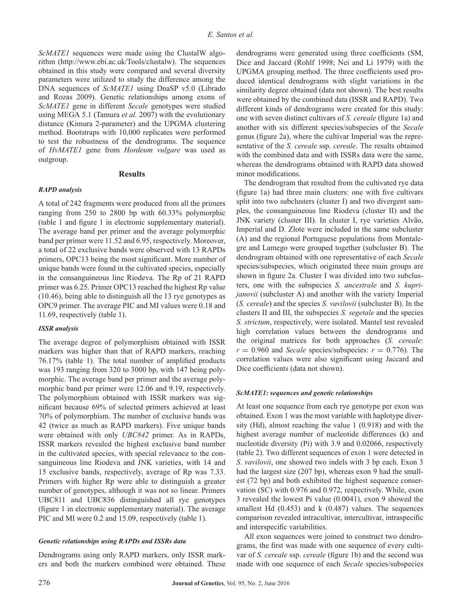*ScMATE1* sequences were made using the ClustalW algorithm [\(http://www.ebi.ac.uk/Tools/clustalw\)](http://www.ebi.ac.uk/Tools/clustalw). The sequences obtained in this study were compared and several diversity parameters were utilized to study the difference among the DNA sequences of *ScMATE1* using DnaSP v5.0 (Librado and Rozas 2009). Genetic relationships among exons of *ScMATE1* gene in different *Secale* genotypes were studied using MEGA 5.1 (Tamura *et al.* 2007) with the evolutionary distance (Kimura 2-parameter) and the UPGMA clustering method. Bootstraps with 10,000 replicates were performed to test the robustness of the dendrograms. The sequence of *HvMATE1* gene from *Hordeum vulgare* was used as outgroup.

#### **Results**

#### *RAPD analysis*

A total of 242 fragments were produced from all the primers ranging from 250 to 2800 bp with 60.33% polymorphic (table 1 and figure 1 in electronic supplementary material). The average band per primer and the average polymorphic band per primer were 11.52 and 6.95, respectively. Moreover, a total of 22 exclusive bands were observed with 13 RAPDs primers, OPC13 being the most significant. More number of unique bands were found in the cultivated species, especially in the consanguineous line Riodeva. The Rp of 21 RAPD primer was 6.25. Primer OPC13 reached the highest Rp value (10.46), being able to distinguish all the 13 rye genotypes as OPC9 primer. The average PIC and MI values were 0.18 and 11.69, respectively (table 1).

#### *ISSR analysis*

The average degree of polymorphism obtained with ISSR markers was higher than that of RAPD markers, reaching 76.17% (table 1). The total number of amplified products was 193 ranging from 320 to 3000 bp, with 147 being polymorphic. The average band per primer and the average polymorphic band per primer were 12.06 and 9.19, respectively. The polymorphism obtained with ISSR markers was significant because 69% of selected primers achieved at least 70% of polymorphism. The number of exclusive bands was 42 (twice as much as RAPD markers). Five unique bands were obtained with only *UBC842* primer. As in RAPDs, ISSR markers revealed the highest exclusive band number in the cultivated species, with special relevance to the consanguineous line Riodeva and JNK varieties, with 14 and 15 exclusive bands, respectively, average of Rp was 7.33. Primers with higher Rp were able to distinguish a greater number of genotypes, although it was not so linear. Primers UBC811 and UBC836 distinguished all rye genotypes (figure 1 in electronic supplementary material). The average PIC and MI were 0.2 and 15.09, respectively (table 1).

#### *Genetic relationships using RAPDs and ISSRs data*

Dendrograms using only RAPD markers, only ISSR markers and both the markers combined were obtained. These

dendrograms were generated using three coefficients (SM, Dice and Jaccard (Rohlf 1998; Nei and Li 1979) with the UPGMA grouping method. The three coefficients used produced identical dendrograms with slight variations in the similarity degree obtained (data not shown). The best results were obtained by the combined data (ISSR and RAPD). Two different kinds of dendrograms were created for this study: one with seven distinct cultivars of *S. cereale* (figure 1a) and another with six different species/subspecies of the *Secale* genus (figure 2a), where the cultivar Imperial was the representative of the *S. cereale* ssp. *cereale*. The results obtained with the combined data and with ISSRs data were the same, whereas the dendrograms obtained with RAPD data showed minor modifications.

The dendrogram that resulted from the cultivated rye data (figure 1a) had three main clusters: one with five cultivars split into two subclusters (cluster I) and two divergent samples, the consanguineous line Riodeva (cluster II) and the JNK variety (cluster III). In cluster I, rye varieties Alvão, Imperial and D. Zlote were included in the same subcluster (A) and the regional Portuguese populations from Montalegre and Lamego were grouped together (subcluster B). The dendrogram obtained with one representative of each *Secale* species/subspecies, which originated three main groups are shown in figure 2a. Cluster I was divided into two subclusters, one with the subspecies *S. ancestrale* and *S. kuprijanovii* (subcluster A) and another with the variety Imperial (*S. cereale*) and the species *S. vavilovii* (subcluster B). In the clusters II and III, the subspecies *S. segetale* and the species *S. strictum*, respectively, were isolated. Mantel test revealed high correlation values between the dendrograms and the original matrices for both approaches (*S. cereale*:  $r = 0.960$  and *Secale* species/subspecies:  $r = 0.776$ . The correlation values were also significant using Jaccard and Dice coefficients (data not shown).

# *ScMATE1: sequences and genetic relationships*

At least one sequence from each rye genotype per exon was obtained. Exon 1 was the most variable with haplotype diversity (Hd), almost reaching the value 1 (0.918) and with the highest average number of nucleotide differences (k) and nucleotide diversity (Pi) with 3.9 and 0.02066, respectively (table 2). Two different sequences of exon 1 were detected in *S. vavilovii*, one showed two indels with 3 bp each. Exon 3 had the largest size (207 bp), whereas exon 9 had the smallest (72 bp) and both exhibited the highest sequence conservation (SC) with 0.976 and 0.972, respectively. While, exon 3 revealed the lowest Pi value (0.0041), exon 9 showed the smallest Hd (0.453) and k (0.487) values. The sequences comparison revealed intracultivar, intercultivar, intraspecific and interspecific variabilities.

All exon sequences were joined to construct two dendrograms, the first was made with one sequence of every cultivar of *S. cereale* ssp. *cereale* (figure 1b) and the second was made with one sequence of each *Secale* species/subspecies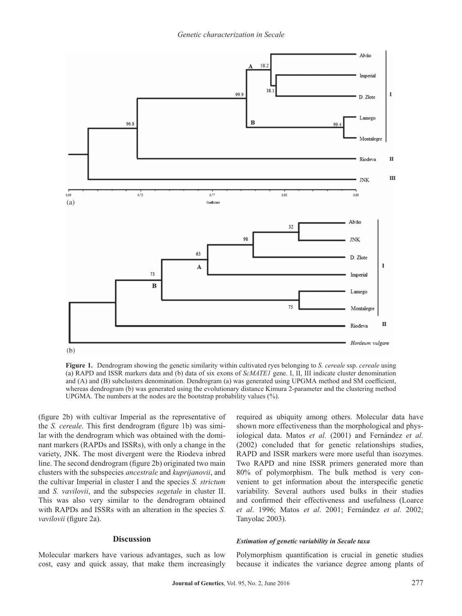

**Figure 1.** Dendrogram showing the genetic similarity within cultivated ryes belonging to *S. cereale* ssp. *cereale* using (a) RAPD and ISSR markers data and (b) data of six exons of *ScMATE1* gene. I, II, III indicate cluster denomination and (A) and (B) subclusters denomination. Dendrogram (a) was generated using UPGMA method and SM coefficient, whereas dendrogram (b) was generated using the evolutionary distance Kimura 2-parameter and the clustering method UPGMA. The numbers at the nodes are the bootstrap probability values (%).

(figure 2b) with cultivar Imperial as the representative of the *S. cereale*. This first dendrogram (figure 1b) was similar with the dendrogram which was obtained with the dominant markers (RAPDs and ISSRs), with only a change in the variety, JNK. The most divergent were the Riodeva inbred line. The second dendrogram (figure 2b) originated two main clusters with the subspecies *ancestrale* and *kuprijanovii*, and the cultivar Imperial in cluster I and the species *S. strictum* and *S. vavilovii*, and the subspecies *segetale* in cluster II. This was also very similar to the dendrogram obtained with RAPDs and ISSRs with an alteration in the species *S. vavilovii* (figure 2a).

#### **Discussion**

Molecular markers have various advantages, such as low cost, easy and quick assay, that make them increasingly required as ubiquity among others. Molecular data have shown more effectiveness than the morphological and physiological data. Matos *et al.* (2001) and Fernández *et al.* (2002) concluded that for genetic relationships studies, RAPD and ISSR markers were more useful than isozymes. Two RAPD and nine ISSR primers generated more than 80% of polymorphism. The bulk method is very convenient to get information about the interspecific genetic variability. Several authors used bulks in their studies and confirmed their effectiveness and usefulness (Loarce *et al*. 1996; Matos *et al*. 2001; Fernández *et al*. 2002; Tanyolac 2003).

#### *Estimation of genetic variability in Secale taxa*

Polymorphism quantification is crucial in genetic studies because it indicates the variance degree among plants of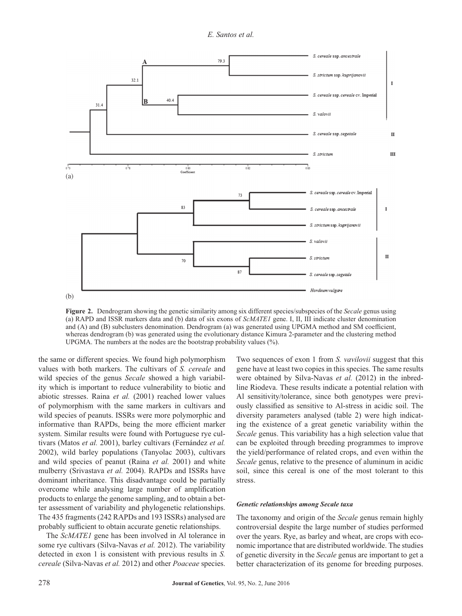*E. Santos et al.*



**Figure 2.** Dendrogram showing the genetic similarity among six different species/subspecies of the *Secale* genus using (a) RAPD and ISSR markers data and (b) data of six exons of *ScMATE1* gene. I, II, III indicate cluster denomination and (A) and (B) subclusters denomination. Dendrogram (a) was generated using UPGMA method and SM coefficient, whereas dendrogram (b) was generated using the evolutionary distance Kimura 2-parameter and the clustering method UPGMA. The numbers at the nodes are the bootstrap probability values  $(\%)$ .

the same or different species. We found high polymorphism values with both markers. The cultivars of *S. cereale* and wild species of the genus *Secale* showed a high variability which is important to reduce vulnerability to biotic and abiotic stresses. Raina *et al.* (2001) reached lower values of polymorphism with the same markers in cultivars and wild species of peanuts. ISSRs were more polymorphic and informative than RAPDs, being the more efficient marker system. Similar results were found with Portuguese rye cultivars (Matos *et al.* 2001), barley cultivars (Fernández *et al.* 2002), wild barley populations (Tanyolac 2003), cultivars and wild species of peanut (Raina *et al.* 2001) and white mulberry (Srivastava *et al.* 2004). RAPDs and ISSRs have dominant inheritance. This disadvantage could be partially overcome while analysing large number of amplification products to enlarge the genome sampling, and to obtain a better assessment of variability and phylogenetic relationships. The 435 fragments (242 RAPDs and 193 ISSRs) analysed are probably sufficient to obtain accurate genetic relationships.

The *ScMATE1* gene has been involved in Al tolerance in some rye cultivars (Silva-Navas *et al.* 2012). The variability detected in exon 1 is consistent with previous results in *S. cereale* (Silva-Navas *et al.* 2012) and other *Poaceae* species.

Two sequences of exon 1 from *S. vavilovii* suggest that this gene have at least two copies in this species. The same results were obtained by Silva-Navas *et al.* (2012) in the inbredline Riodeva. These results indicate a potential relation with Al sensitivity/tolerance, since both genotypes were previously classified as sensitive to Al-stress in acidic soil. The diversity parameters analysed (table 2) were high indicating the existence of a great genetic variability within the *Secale* genus. This variability has a high selection value that can be exploited through breeding programmes to improve the yield/performance of related crops, and even within the *Secale* genus, relative to the presence of aluminum in acidic soil, since this cereal is one of the most tolerant to this stress.

#### *Genetic relationships among Secale taxa*

The taxonomy and origin of the *Secale* genus remain highly controversial despite the large number of studies performed over the years. Rye, as barley and wheat, are crops with economic importance that are distributed worldwide. The studies of genetic diversity in the *Secale* genus are important to get a better characterization of its genome for breeding purposes.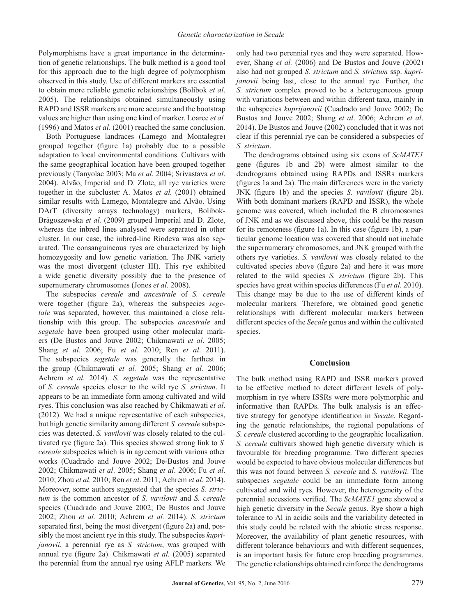Polymorphisms have a great importance in the determination of genetic relationships. The bulk method is a good tool for this approach due to the high degree of polymorphism observed in this study. Use of different markers are essential to obtain more reliable genetic relationships (Bolibok *et al*. 2005). The relationships obtained simultaneously using RAPD and ISSR markers are more accurate and the bootstrap values are higher than using one kind of marker. Loarce *et al.* (1996) and Matos *et al.* (2001) reached the same conclusion.

Both Portuguese landraces (Lamego and Montalegre) grouped together (figure 1a) probably due to a possible adaptation to local environmental conditions. Cultivars with the same geographical location have been grouped together previously (Tanyolac 2003; Ma *et al*. 2004; Srivastava *et al*. 2004). Alvão, Imperial and D. Zlote, all rye varieties were together in the subcluster A. Matos *et al.* (2001) obtained similar results with Lamego, Montalegre and Alvão. Using DArT (diversity arrays technology) markers, Bolibok-Bragoszewska et al. (2009) grouped Imperial and D. Zlote, whereas the inbred lines analysed were separated in other cluster. In our case, the inbred-line Riodeva was also separated. The consanguineous ryes are characterized by high homozygosity and low genetic variation. The JNK variety was the most divergent (cluster III). This rye exhibited a wide genetic diversity possibly due to the presence of supernumerary chromosomes (Jones *et al.* 2008).

The subspecies *cereale* and *ancestrale* of *S. cereale* were together (figure 2a), whereas the subspecies *segetale* was separated, however, this maintained a close relationship with this group. The subspecies *ancestrale* and *segetale* have been grouped using other molecular markers (De Bustos and Jouve 2002; Chikmawati *et al*. 2005; Shang *et al*. 2006; Fu *et al*. 2010; Ren *et al*. 2011). The subspecies *segetale* was generally the farthest in the group (Chikmawati *et al.* 2005; Shang *et al.* 2006; Achrem *et al.* 2014). *S. segetale* was the representative of *S. cereale* species closer to the wild rye *S. strictum*. It appears to be an immediate form among cultivated and wild ryes. This conclusion was also reached by Chikmawati *et al*. (2012). We had a unique representative of each subspecies, but high genetic similarity among different *S. cereale* subspecies was detected. *S. vavilovii* was closely related to the cultivated rye (figure 2a). This species showed strong link to *S. cereale* subspecies which is in agreement with various other works (Cuadrado and Jouve 2002; De-Bustos and Jouve 2002; Chikmawati *et al*. 2005; Shang *et al*. 2006; Fu *et al*. 2010; Zhou *et al*. 2010; Ren *et al*. 2011; Achrem *et al*. 2014). Moreover, some authors suggested that the species *S. strictum* is the common ancestor of *S. vavilovii* and *S. cereale* species (Cuadrado and Jouve 2002; De Bustos and Jouve 2002; Zhou *et al.* 2010; Achrem *et al.* 2014). *S. strictum* separated first, being the most divergent (figure 2a) and, possibly the most ancient rye in this study. The subspecies *kuprijanovii*, a perennial rye as *S. strictum*, was grouped with annual rye (figure 2a). Chikmawati *et al.* (2005) separated the perennial from the annual rye using AFLP markers. We

only had two perennial ryes and they were separated. However, Shang *et al.* (2006) and De Bustos and Jouve (2002) also had not grouped *S. strictum* and *S. strictum* ssp. *kuprijanovii* being last, close to the annual rye. Further, the *S. strictum* complex proved to be a heterogeneous group with variations between and within different taxa, mainly in the subspecies *kuprijanovii* (Cuadrado and Jouve 2002; De Bustos and Jouve 2002; Shang *et al*. 2006; Achrem *et al*. 2014). De Bustos and Jouve (2002) concluded that it was not clear if this perennial rye can be considered a subspecies of *S. strictum*.

The dendrograms obtained using six exons of *ScMATE1* gene (figures 1b and 2b) were almost similar to the dendrograms obtained using RAPDs and ISSRs markers (figures 1a and 2a). The main differences were in the variety JNK (figure 1b) and the species *S. vavilovii* (figure 2b). With both dominant markers (RAPD and ISSR), the whole genome was covered, which included the B chromosomes of JNK and as we discussed above, this could be the reason for its remoteness (figure 1a). In this case (figure 1b), a particular genome location was covered that should not include the supernumerary chromosomes, and JNK grouped with the others rye varieties. *S. vavilovii* was closely related to the cultivated species above (figure 2a) and here it was more related to the wild species *S. strictum* (figure 2b). This species have great within species differences (Fu *et al.* 2010). This change may be due to the use of different kinds of molecular markers. Therefore, we obtained good genetic relationships with different molecular markers between different species of the *Secale* genus and within the cultivated species.

#### **Conclusion**

The bulk method using RAPD and ISSR markers proved to be effective method to detect different levels of polymorphism in rye where ISSRs were more polymorphic and informative than RAPDs. The bulk analysis is an effective strategy for genotype identification in *Secale*. Regarding the genetic relationships, the regional populations of *S. cereale* clustered according to the geographic localization. *S. cereale* cultivars showed high genetic diversity which is favourable for breeding programme. Two different species would be expected to have obvious molecular differences but this was not found between *S. cereale* and *S. vavilovii*. The subspecies *segetale* could be an immediate form among cultivated and wild ryes. However, the heterogeneity of the perennial accessions verified. The *ScMATE1* gene showed a high genetic diversity in the *Secale* genus. Rye show a high tolerance to Al in acidic soils and the variability detected in this study could be related with the abiotic stress response. Moreover, the availability of plant genetic resources, with different tolerance behaviours and with different sequences, is an important basis for future crop breeding programmes. The genetic relationships obtained reinforce the dendrograms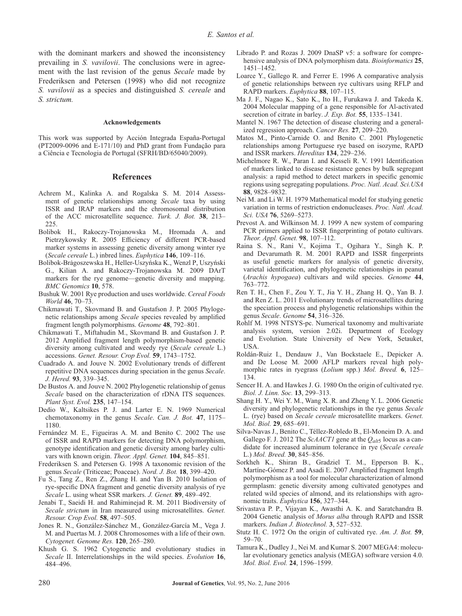with the dominant markers and showed the inconsistency prevailing in *S. vavilovii*. The conclusions were in agreement with the last revision of the genus *Secale* made by Frederiksen and Petersen (1998) who did not recognize *S. vavilovii* as a species and distinguished *S. cereale* and *S. strictum.*

#### **Acknowledgements**

This work was supported by Acción Integrada España-Portugal (PT2009-0096 and E-171/10) and PhD grant from Fundação para a Ciência e Tecnologia de Portugal (SFRH/BD/65040/2009).

#### **References**

- Achrem M., Kalinka A. and Rogalska S. M. 2014 Assessment of genetic relationships among *Secale* taxa by using ISSR and IRAP markers and the chromosomal distribution of the ACC microsatellite sequence. *Turk. J. Bot.* **38**, 213– 225.
- Bolibok H., Rakoczy-Trojanowska M., Hromada A. and Pietrzykowsky R. 2005 Efficiency of different PCR-based marker systems in assessing genetic diversity among winter rye (*Secale cereale* L.) inbred lines. *Euphytica* **146**, 109–116.
- Bolibok-Bragoszewska H., Heller-Uszyńska K., Wenzl P, Uszyński G., Kilian A. and Rakoczy-Trojanowska M. 2009 DArT markers for the rye genome—genetic diversity and mapping. *BMC Genomics* **10**, 578.
- Bushuk W. 2001 Rye production and uses worldwide. *Cereal Foods World* **46**, 70–73.
- Chikmawati T., Skovmand B. and Gustafson J. P. 2005 Phylogenetic relationships among *Secale* species revealed by amplified fragment length polymorphisms. *Genome* **48**, 792–801.
- Chikmawati T., Miftahudin M., Skovmand B. and Gustafson J. P. 2012 Amplified fragment length polymorphism-based genetic diversity among cultivated and weedy rye (*Secale cereale* L.) accessions. *Genet. Resour. Crop Evol.* **59**, 1743–1752.
- Cuadrado A. and Jouve N. 2002 Evolutionary trends of different repetitive DNA sequences during speciation in the genus *Secale*. *J. Hered.* **93**, 339–345.
- De Bustos A. and Jouve N. 2002 Phylogenetic relationship of genus *Secale* based on the characterization of rDNA ITS sequences. *Plant Syst. Evol.* **235**, 147–154.
- Dedio W., Kaltsikes P. J. and Larter E. N. 1969 Numerical chemotaxonomy in the genus *Secale*. *Can. J. Bot.* **47**, 1175– 1180.
- Fernández M. E., Figueiras A. M. and Benito C. 2002 The use of ISSR and RAPD markers for detecting DNA polymorphism, genotype identification and genetic diversity among barley cultivars with known origin. *Theor. Appl. Genet.* **104**, 845–851.
- Frederiksen S. and Petersen G. 1998 A taxonomic revision of the genus *Secale* (Triticeae; Poaceae). *Nord. J. Bot.* **18**, 399–420.
- Fu S., Tang Z., Ren Z., Zhang H. and Yan B. 2010 Isolation of rye-specific DNA fragment and genetic diversity analysis of rye *Secale* L. using wheat SSR markers. *J. Genet.* **89**, 489–492.
- Jenabi T., Saeidi H. and Rahiminejad R. M. 2011 Biodiversity of *Secale strictum* in Iran measured using microsatellites. *Genet. Resour. Crop Evol.* **58**, 497–505.
- Jones R. N., González-Sánchez M., González-García M., Vega J. M. and Puertas M. J. 2008 Chromosomes with a life of their own. *Cytogenet. Genome Res.* **120**, 265–280.
- Khush G. S. 1962 Cytogenetic and evolutionary studies in *Secale* II. Interrelationships in the wild species. *Evolution* **16**, 484–496.
- Librado P. and Rozas J. 2009 DnaSP v5: a software for comprehensive analysis of DNA polymorphism data. *Bioinformatics* **25**, 1451–1452.
- Loarce Y., Gallego R. and Ferrer E. 1996 A comparative analysis of genetic relationships between rye cultivars using RFLP and RAPD markers. *Euphytica* **88**, 107–115.
- Ma J. F., Nagao K., Sato K., Ito H., Furukawa J. and Takeda K. 2004 Molecular mapping of a gene responsible for Al-activated secretion of citrate in barley. *J. Exp. Bot.* **55**, 1335–1341.
- Mantel N. 1967 The detection of disease clustering and a generalized regression approach. *Cancer Res.* **27**, 209–220.
- Matos M., Pinto-Carnide O. and Benito C. 2001 Phylogenetic relationships among Portuguese rye based on isozyme, RAPD and ISSR markers. *Hereditas* **134**, 229–236.
- Michelmore R. W., Paran I. and Kesseli R. V. 1991 Identification of markers linked to disease resistance genes by bulk segregant analysis: a rapid method to detect markers in specific genomic regions using segregating populations. *Proc. Natl. Acad. Sci.USA* **88**, 9828–9832.
- Nei M. and Li W. H. 1979 Mathematical model for studying genetic variation in terms of restriction endonucleases. *Proc. Natl. Acad. Sci. USA* **76**, 5269–5273.
- Prevost A. and Wilkinson M. J. 1999 A new system of comparing PCR primers applied to ISSR fingerprinting of potato cultivars. *Theor. Appl. Genet.* **98**, 107–112.
- Raina S. N., Rani V., Kojima T., Ogihara Y., Singh K. P. and Devarumath R. M. 2001 RAPD and ISSR fingerprints as useful genetic markers for analysis of genetic diversity, varietal identification, and phylogenetic relationships in peanut (*Arachis hypogaea*) cultivars and wild species. *Genome* **44**, 763–772.
- Ren T. H., Chen F., Zou Y. T., Jia Y. H., Zhang H. Q., Yan B. J. and Ren Z. L. 2011 Evolutionary trends of microsatellites during the speciation process and phylogenetic relationships within the genus *Secale*. *Genome* **54**, 316–326.
- Rohlf M. 1998 NTSYS-pc. Numerical taxonomy and multivariate analysis system, version 2.02i. Department of Ecology and Evolution. State University of New York, Setauket, USA.
- Roldán-Ruiz I., Dendauw J., Van Bockstaele E., Depicker A. and De Loose M. 2000 AFLP markers reveal high polymorphic rates in ryegrass (*Lolium* spp.) *Mol. Breed.* **6**, 125– 134.
- Sencer H. A. and Hawkes J. G. 1980 On the origin of cultivated rye. *Biol. J. Linn. Soc.* **13**, 299–313.
- Shang H. Y., Wei Y. M., Wang X. R. and Zheng Y. L. 2006 Genetic diversity and phylogenetic relationships in the rye genus *Secale* L. (rye) based on *Secale cereale* microsatellite markers. *Genet. Mol. Biol.* **29**, 685–691.
- Silva-Navas J., Benito C., Téllez-Robledo B., El-Moneim D. A. and Gallego F. J. 2012 The *ScAACT1* gene at the *Qalt*5 locus as a candidate for increased aluminum tolerance in rye (*Secale cereale* L.) *Mol. Breed.* **30**, 845–856.
- Sorkheh K., Shiran B., Gradziel T. M., Epperson B. K., Martíne-Gómez P. and Asadi E. 2007 Amplified fragment length polymorphism as a tool for molecular characterization of almond germplasm: genetic diversity among cultivated genotypes and related wild species of almond, and its relationships with agronomic traits. *Euphytica* **156**, 327–344.
- Srivastava P. P., Vijayan K., Awasthi A. K. and Saratchandra B. 2004 Genetic analysis of *Morus alba* through RAPD and ISSR markers. *Indian J. Biotechnol.* **3**, 527–532.
- Stutz H. C. 1972 On the origin of cultivated rye. *Am. J. Bot.* **59**, 59–70.
- Tamura K., Dudley J., Nei M. and Kumar S. 2007 MEGA4: molecular evolutionary genetics analysis (MEGA) software version 4.0. *Mol. Biol. Evol.* **24**, 1596–1599.